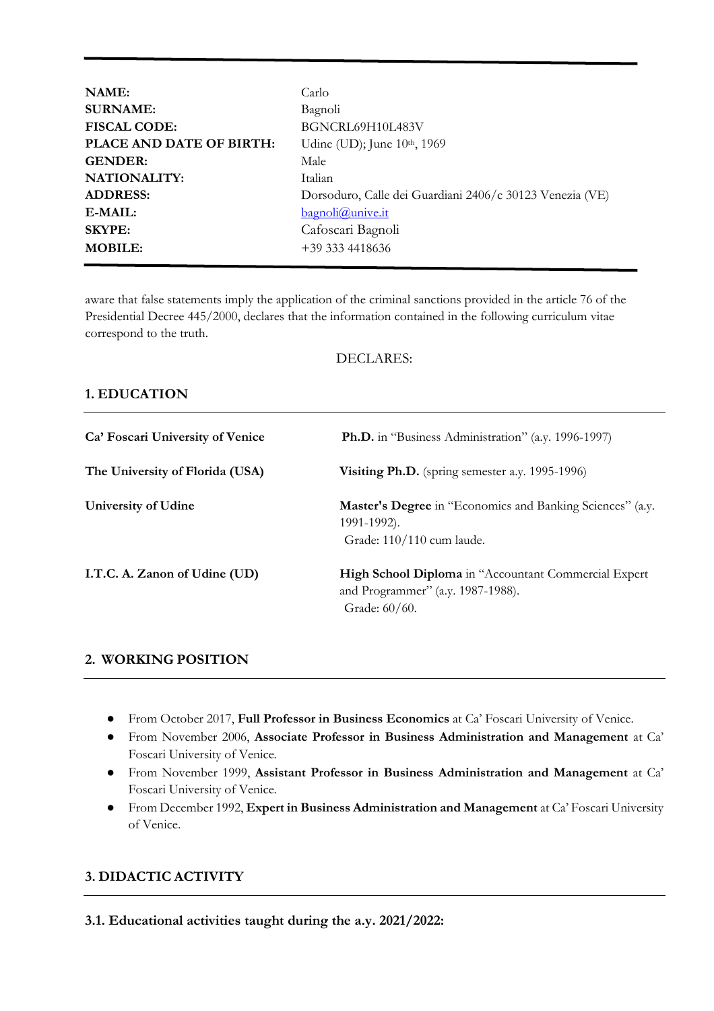| NAME:                    | Carlo                                                    |
|--------------------------|----------------------------------------------------------|
| <b>SURNAME:</b>          | Bagnoli                                                  |
| <b>FISCAL CODE:</b>      | BGNCRL69H10L483V                                         |
| PLACE AND DATE OF BIRTH: | Udine (UD); June 10th, 1969                              |
| <b>GENDER:</b>           | Male                                                     |
| <b>NATIONALITY:</b>      | Italian                                                  |
| <b>ADDRESS:</b>          | Dorsoduro, Calle dei Guardiani 2406/c 30123 Venezia (VE) |
| E-MAIL:                  | bagnoli@unive.it                                         |
| <b>SKYPE:</b>            | Cafoscari Bagnoli                                        |
| <b>MOBILE:</b>           | $+393334418636$                                          |
|                          |                                                          |

aware that false statements imply the application of the criminal sanctions provided in the article 76 of the Presidential Decree 445/2000, declares that the information contained in the following curriculum vitae correspond to the truth.

### DECLARES:

### **1. EDUCATION**

| Ca' Foscari University of Venice | <b>Ph.D.</b> in "Business Administration" (a.y. 1996-1997)                                                        |
|----------------------------------|-------------------------------------------------------------------------------------------------------------------|
| The University of Florida (USA)  | Visiting Ph.D. (spring semester a.y. 1995-1996)                                                                   |
| University of Udine              | <b>Master's Degree</b> in "Economics and Banking Sciences" (a.y.<br>1991-1992).<br>Grade: 110/110 cum laude.      |
| I.T.C. A. Zanon of Udine (UD)    | <b>High School Diploma</b> in "Accountant Commercial Expert<br>and Programmer" (a.y. 1987-1988).<br>Grade: 60/60. |

### **2. WORKING POSITION**

- From October 2017, **Full Professor in Business Economics** at Ca' Foscari University of Venice.
- From November 2006, **Associate Professor in Business Administration and Management** at Ca' Foscari University of Venice.
- From November 1999, **Assistant Professor in Business Administration and Management** at Ca' Foscari University of Venice.
- From December 1992, **Expert in Business Administration and Management** at Ca' Foscari University of Venice.

### **3. DIDACTIC ACTIVITY**

**3.1. Educational activities taught during the a.y. 2021/2022:**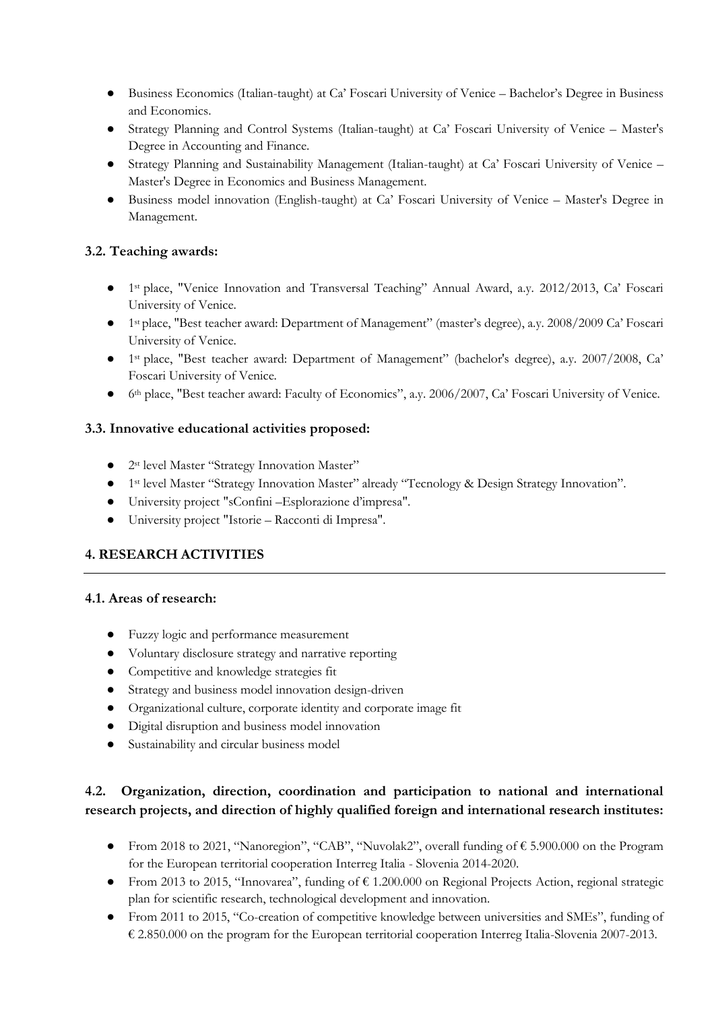- Business Economics (Italian-taught) at Ca' Foscari University of Venice Bachelor's Degree in Business and Economics.
- Strategy Planning and Control Systems (Italian-taught) at Ca' Foscari University of Venice Master's Degree in Accounting and Finance.
- Strategy Planning and Sustainability Management (Italian-taught) at Ca' Foscari University of Venice Master's Degree in Economics and Business Management.
- Business model innovation (English-taught) at Ca' Foscari University of Venice Master's Degree in Management.

## **3.2. Teaching awards:**

- 1st place, "Venice Innovation and Transversal Teaching" Annual Award, a.y. 2012/2013, Ca' Foscari University of Venice.
- 1st place, "Best teacher award: Department of Management" (master's degree), a.y. 2008/2009 Ca' Foscari University of Venice.
- 1st place, "Best teacher award: Department of Management" (bachelor's degree), a.y. 2007/2008, Ca' Foscari University of Venice.
- 6<sup>th</sup> place, "Best teacher award: Faculty of Economics", a.y. 2006/2007, Ca' Foscari University of Venice.

## **3.3. Innovative educational activities proposed:**

- 2st level Master "Strategy Innovation Master"
- 1st level Master "Strategy Innovation Master" already "Tecnology & Design Strategy Innovation".
- University project "sConfini –Esplorazione d'impresa".
- University project "Istorie Racconti di Impresa".

# **4. RESEARCH ACTIVITIES**

### **4.1. Areas of research:**

- Fuzzy logic and performance measurement
- Voluntary disclosure strategy and narrative reporting
- Competitive and knowledge strategies fit
- Strategy and business model innovation design-driven
- Organizational culture, corporate identity and corporate image fit
- Digital disruption and business model innovation
- Sustainability and circular business model

# **4.2. Organization, direction, coordination and participation to national and international research projects, and direction of highly qualified foreign and international research institutes:**

- From 2018 to 2021, "Nanoregion", "CAB", "Nuvolak2", overall funding of € 5.900.000 on the Program for the European territorial cooperation Interreg Italia - Slovenia 2014-2020.
- From 2013 to 2015, "Innovarea", funding of € 1.200.000 on Regional Projects Action, regional strategic plan for scientific research, technological development and innovation.
- From 2011 to 2015, "Co-creation of competitive knowledge between universities and SMEs", funding of € 2.850.000 on the program for the European territorial cooperation Interreg Italia-Slovenia 2007-2013.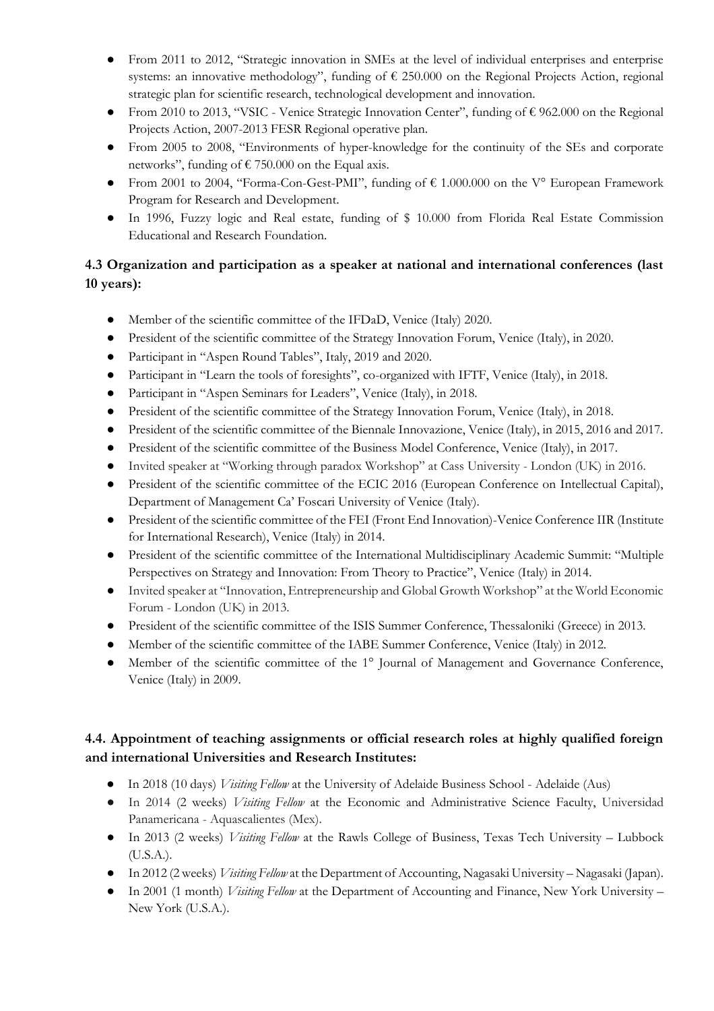- From 2011 to 2012, "Strategic innovation in SMEs at the level of individual enterprises and enterprise systems: an innovative methodology", funding of  $\epsilon$  250.000 on the Regional Projects Action, regional strategic plan for scientific research, technological development and innovation.
- From 2010 to 2013, "VSIC Venice Strategic Innovation Center", funding of € 962.000 on the Regional Projects Action, 2007-2013 FESR Regional operative plan.
- From 2005 to 2008, "Environments of hyper-knowledge for the continuity of the SEs and corporate networks", funding of  $\epsilon$  750.000 on the Equal axis.
- From 2001 to 2004, "Forma-Con-Gest-PMI", funding of  $\epsilon$  1.000.000 on the V° European Framework Program for Research and Development.
- In 1996, Fuzzy logic and Real estate, funding of \$ 10.000 from Florida Real Estate Commission Educational and Research Foundation.

# **4.3 Organization and participation as a speaker at national and international conferences (last 10 years):**

- Member of the scientific committee of the IFDaD, Venice (Italy) 2020.
- President of the scientific committee of the Strategy Innovation Forum, Venice (Italy), in 2020.
- Participant in "Aspen Round Tables", Italy, 2019 and 2020.
- Participant in "Learn the tools of foresights", co-organized with IFTF, Venice (Italy), in 2018.
- Participant in "Aspen Seminars for Leaders", Venice (Italy), in 2018.
- President of the scientific committee of the Strategy Innovation Forum, Venice (Italy), in 2018.
- President of the scientific committee of the Biennale Innovazione, Venice (Italy), in 2015, 2016 and 2017.
- President of the scientific committee of the Business Model Conference, Venice (Italy), in 2017.
- Invited speaker at "Working through paradox Workshop" at Cass University London (UK) in 2016.
- President of the scientific committee of the ECIC 2016 (European Conference on Intellectual Capital), Department of Management Ca' Foscari University of Venice (Italy).
- President of the scientific committee of the FEI (Front End Innovation)-Venice Conference IIR (Institute for International Research), Venice (Italy) in 2014.
- President of the scientific committee of the International Multidisciplinary Academic Summit: "Multiple Perspectives on Strategy and Innovation: From Theory to Practice", Venice (Italy) in 2014.
- Invited speaker at "Innovation, Entrepreneurship and Global Growth Workshop" at the World Economic Forum - London (UK) in 2013.
- President of the scientific committee of the ISIS Summer Conference, Thessaloniki (Greece) in 2013.
- Member of the scientific committee of the IABE Summer Conference, Venice (Italy) in 2012.
- Member of the scientific committee of the 1° Journal of Management and Governance Conference, Venice (Italy) in 2009.

# **4.4. Appointment of teaching assignments or official research roles at highly qualified foreign and international Universities and Research Institutes:**

- In 2018 (10 days) *Visiting Fellow* at the University of Adelaide Business School Adelaide (Aus)
- In 2014 (2 weeks) *Visiting Fellow* at the Economic and Administrative Science Faculty, Universidad Panamericana - Aquascalientes (Mex).
- In 2013 (2 weeks) *Visiting Fellow* at the Rawls College of Business, Texas Tech University Lubbock (U.S.A.).
- In 2012 (2 weeks) *Visiting Fellow* at the Department of Accounting, Nagasaki University Nagasaki (Japan).
- In 2001 (1 month) *Visiting Fellow* at the Department of Accounting and Finance, New York University New York (U.S.A.).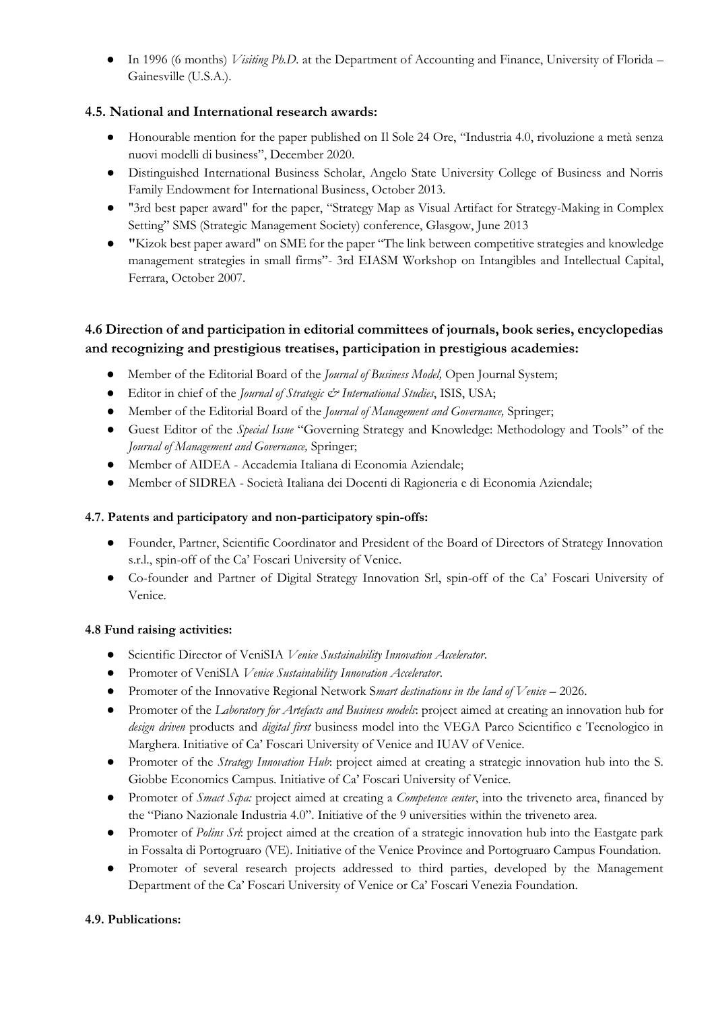● In 1996 (6 months) *Visiting Ph.D.* at the Department of Accounting and Finance, University of Florida – Gainesville (U.S.A.).

# **4.5. National and International research awards:**

- Honourable mention for the paper published on Il Sole 24 Ore, "Industria 4.0, rivoluzione a metà senza nuovi modelli di business", December 2020.
- Distinguished International Business Scholar, Angelo State University College of Business and Norris Family Endowment for International Business, October 2013.
- "3rd best paper award" for the paper, "Strategy Map as Visual Artifact for Strategy-Making in Complex Setting" SMS (Strategic Management Society) conference, Glasgow, June 2013
- **"**Kizok best paper award" on SME for the paper "The link between competitive strategies and knowledge management strategies in small firms"- 3rd EIASM Workshop on Intangibles and Intellectual Capital, Ferrara, October 2007.

# **4.6 Direction of and participation in editorial committees of journals, book series, encyclopedias and recognizing and prestigious treatises, participation in prestigious academies:**

- Member of the Editorial Board of the *Journal of Business Model,* Open Journal System;
- Editor in chief of the *Journal of Strategic & International Studies*, ISIS, USA;
- Member of the Editorial Board of the *Journal of Management and Governance,* Springer;
- Guest Editor of the *Special Issue* "Governing Strategy and Knowledge: Methodology and Tools" of the *Journal of Management and Governance,* Springer;
- Member of AIDEA Accademia Italiana di Economia Aziendale;
- Member of SIDREA Società Italiana dei Docenti di Ragioneria e di Economia Aziendale;

### **4.7. Patents and participatory and non-participatory spin-offs:**

- Founder, Partner, Scientific Coordinator and President of the Board of Directors of Strategy Innovation s.r.l., spin-off of the Ca' Foscari University of Venice.
- Co-founder and Partner of Digital Strategy Innovation Srl, spin-off of the Ca' Foscari University of Venice.

### **4.8 Fund raising activities:**

- Scientific Director of VeniSIA *Venice Sustainability Innovation Accelerator*.
- Promoter of VeniSIA *Venice Sustainability Innovation Accelerator*.
- Promoter of the Innovative Regional Network S*mart destinations in the land of Venice* 2026.
- Promoter of the *Laboratory for Artefacts and Business models*: project aimed at creating an innovation hub for *design driven* products and *digital first* business model into the VEGA Parco Scientifico e Tecnologico in Marghera. Initiative of Ca' Foscari University of Venice and IUAV of Venice.
- Promoter of the *Strategy Innovation Hub*: project aimed at creating a strategic innovation hub into the S. Giobbe Economics Campus. Initiative of Ca' Foscari University of Venice.
- Promoter of *Smact Scpa:* project aimed at creating a *Competence center*, into the triveneto area, financed by the "Piano Nazionale Industria 4.0". Initiative of the 9 universities within the triveneto area.
- Promoter of *Polins Srl*: project aimed at the creation of a strategic innovation hub into the Eastgate park in Fossalta di Portogruaro (VE). Initiative of the Venice Province and Portogruaro Campus Foundation.
- Promoter of several research projects addressed to third parties, developed by the Management Department of the Ca' Foscari University of Venice or Ca' Foscari Venezia Foundation.

### **4.9. Publications:**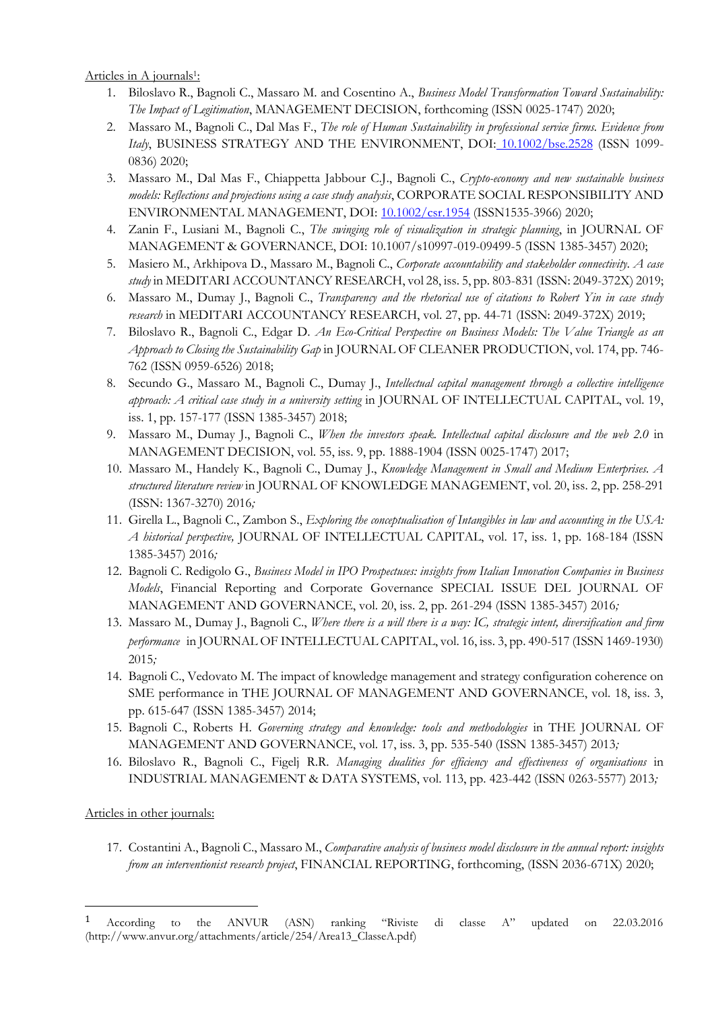<u>Articles in A journals<sup>1</sup>:</u>

- 1. Biloslavo R., Bagnoli C., Massaro M. and Cosentino A., *Business Model Transformation Toward Sustainability: The Impact of Legitimation*, MANAGEMENT DECISION, forthcoming (ISSN 0025-1747) 2020;
- 2. Massaro M., Bagnoli C., Dal Mas F., *The role of Human Sustainability in professional service firms. Evidence from Italy*, BUSINESS STRATEGY AND THE ENVIRONMENT, DOI: [10.1002/bse.2528](https://doi.org/10.1002/bse.2528) (ISSN 1099- 0836) 2020;
- 3. Massaro M., Dal Mas F., Chiappetta Jabbour C.J., Bagnoli C., *Crypto-economy and new sustainable business models: Reflections and projections using a case study analysis*, CORPORATE SOCIAL RESPONSIBILITY AND ENVIRONMENTAL MANAGEMENT, DOI: [10.1002/csr.1954](https://doi.org/10.1002/csr.1954) (ISSN1535-3966) 2020;
- 4. Zanin F., Lusiani M., Bagnoli C., *The swinging role of visualization in strategic planning*, in JOURNAL OF MANAGEMENT & GOVERNANCE, DOI: 10.1007/s10997-019-09499-5 (ISSN 1385-3457) 2020;
- 5. Masiero M., Arkhipova D., Massaro M., Bagnoli C., *Corporate accountability and stakeholder connectivity. A case study* in MEDITARI ACCOUNTANCY RESEARCH, vol 28, iss. 5, pp. 803-831 (ISSN: 2049-372X) 2019;
- 6. Massaro M., Dumay J., Bagnoli C., *Transparency and the rhetorical use of citations to Robert Yin in case study research* in MEDITARI ACCOUNTANCY RESEARCH, vol. 27, pp. 44-71 (ISSN: 2049-372X) 2019;
- 7. Biloslavo R., Bagnoli C., Edgar D. *An Eco-Critical Perspective on Business Models: The Value Triangle as an Approach to Closing the Sustainability Gap* in JOURNAL OF CLEANER PRODUCTION, vol. 174, pp. 746- 762 (ISSN 0959-6526) 2018;
- 8. Secundo G., Massaro M., Bagnoli C., Dumay J., *Intellectual capital management through a collective intelligence approach: A critical case study in a university setting* in JOURNAL OF INTELLECTUAL CAPITAL, vol. 19, iss. 1, pp. 157-177 (ISSN 1385-3457) 2018;
- 9. Massaro M., Dumay J., Bagnoli C., *When the investors speak. Intellectual capital disclosure and the web 2.0* in MANAGEMENT DECISION, vol. 55, iss. 9, pp. 1888-1904 (ISSN 0025-1747) 2017;
- 10. Massaro M., Handely K., Bagnoli C., Dumay J., *Knowledge Management in Small and Medium Enterprises. A structured literature review* in JOURNAL OF KNOWLEDGE MANAGEMENT, vol. 20, iss. 2, pp. 258-291 (ISSN: 1367-3270) 2016*;*
- 11. Girella L., Bagnoli C., Zambon S., *Exploring the conceptualisation of Intangibles in law and accounting in the USA: A historical perspective,* JOURNAL OF INTELLECTUAL CAPITAL, vol. 17, iss. 1, pp. 168-184 (ISSN 1385-3457) 2016*;*
- 12. Bagnoli C. Redigolo G., *Business Model in IPO Prospectuses: insights from Italian Innovation Companies in Business Models*, Financial Reporting and Corporate Governance SPECIAL ISSUE DEL JOURNAL OF MANAGEMENT AND GOVERNANCE, vol. 20, iss. 2, pp. 261-294 (ISSN 1385-3457) 2016*;*
- 13. Massaro M., Dumay J., Bagnoli C., *Where there is a will there is a way: IC, strategic intent, diversification and firm performance* in JOURNAL OF INTELLECTUAL CAPITAL, vol. 16, iss. 3, pp. 490-517 (ISSN 1469-1930) 2015*;*
- 14. Bagnoli C., Vedovato M. The impact of knowledge management and strategy configuration coherence on SME performance in THE JOURNAL OF MANAGEMENT AND GOVERNANCE, vol. 18, iss. 3, pp. 615-647 (ISSN 1385-3457) 2014;
- 15. Bagnoli C., Roberts H. *Governing strategy and knowledge: tools and methodologies* in THE JOURNAL OF MANAGEMENT AND GOVERNANCE, vol. 17, iss. 3, pp. 535-540 (ISSN 1385-3457) 2013*;*
- 16. Biloslavo R., Bagnoli C., Figelj R.R. *Managing dualities for efficiency and effectiveness of organisations* in INDUSTRIAL MANAGEMENT & DATA SYSTEMS, vol. 113, pp. 423-442 (ISSN 0263-5577) 2013*;*

### Articles in other journals:

17. Costantini A., Bagnoli C., Massaro M., *Comparative analysis of business model disclosure in the annual report: insights from an interventionist research project*, FINANCIAL REPORTING, forthcoming, (ISSN 2036-671X) 2020;

<sup>1</sup> According to the ANVUR (ASN) ranking "Riviste di classe A" updated on 22.03.2016 (http://www.anvur.org/attachments/article/254/Area13\_ClasseA.pdf)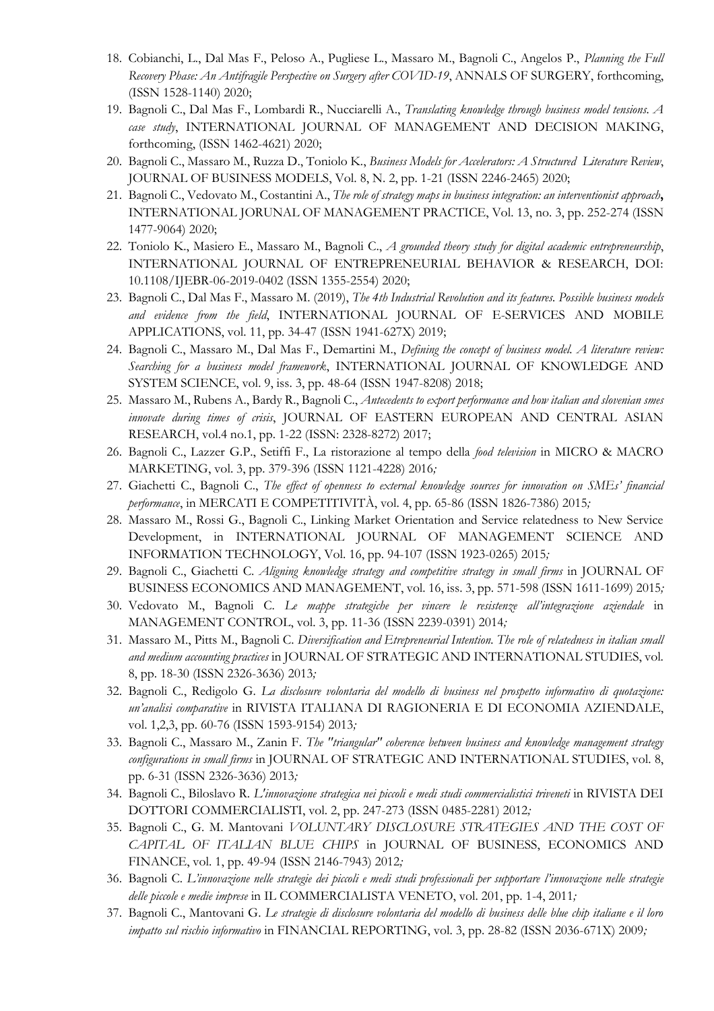- 18. Cobianchi, L., Dal Mas F., Peloso A., Pugliese L., Massaro M., Bagnoli C., Angelos P., *Planning the Full Recovery Phase: An Antifragile Perspective on Surgery after COVID-19*, ANNALS OF SURGERY, forthcoming, (ISSN 1528-1140) 2020;
- 19. Bagnoli C., Dal Mas F., Lombardi R., Nucciarelli A., *Translating knowledge through business model tensions. A case study*, INTERNATIONAL JOURNAL OF MANAGEMENT AND DECISION MAKING, forthcoming, (ISSN 1462-4621) 2020;
- 20. Bagnoli C., Massaro M., Ruzza D., Toniolo K., *Business Models for Accelerators: A Structured Literature Review*, JOURNAL OF BUSINESS MODELS, Vol. 8, N. 2, pp. 1-21 (ISSN 2246-2465) 2020;
- 21. Bagnoli C., Vedovato M., Costantini A., *The role of strategy maps in business integration: an interventionist approach***,** INTERNATIONAL JORUNAL OF MANAGEMENT PRACTICE, Vol. 13, no. 3, pp. 252-274 (ISSN 1477-9064) 2020;
- 22. Toniolo K., Masiero E., Massaro M., Bagnoli C., *A grounded theory study for digital academic entrepreneurship*, INTERNATIONAL JOURNAL OF ENTREPRENEURIAL BEHAVIOR & RESEARCH, DOI: 10.1108/IJEBR-06-2019-0402 (ISSN 1355-2554) 2020;
- 23. Bagnoli C., Dal Mas F., Massaro M. (2019), *The 4th Industrial Revolution and its features. Possible business models and evidence from the field*, INTERNATIONAL JOURNAL OF E-SERVICES AND MOBILE APPLICATIONS, vol. 11, pp. 34-47 (ISSN 1941-627X) 2019;
- 24. Bagnoli C., Massaro M., Dal Mas F., Demartini M., *Defining the concept of business model. A literature review: Searching for a business model framework*, INTERNATIONAL JOURNAL OF KNOWLEDGE AND SYSTEM SCIENCE, vol. 9, iss. 3, pp. 48-64 (ISSN 1947-8208) 2018;
- 25. Massaro M., Rubens A., Bardy R., Bagnoli C., *Antecedents to export performance and how italian and slovenian smes innovate during times of crisis*, JOURNAL OF EASTERN EUROPEAN AND CENTRAL ASIAN RESEARCH, vol.4 no.1, pp. 1-22 (ISSN: 2328-8272) 2017;
- 26. Bagnoli C., Lazzer G.P., Setiffi F., La ristorazione al tempo della *food television* in MICRO & MACRO MARKETING, vol. 3, pp. 379-396 (ISSN 1121-4228) 2016*;*
- 27. Giachetti C., Bagnoli C., *The effect of openness to external knowledge sources for innovation on SMEs' financial performance*, in MERCATI E COMPETITIVITÀ, vol. 4, pp. 65-86 (ISSN 1826-7386) 2015*;*
- 28. Massaro M., Rossi G., Bagnoli C., Linking Market Orientation and Service relatedness to New Service Development, in INTERNATIONAL JOURNAL OF MANAGEMENT SCIENCE AND INFORMATION TECHNOLOGY, Vol. 16, pp. 94-107 (ISSN 1923-0265) 2015*;*
- 29. Bagnoli C., Giachetti C. *Aligning knowledge strategy and competitive strategy in small firms* in JOURNAL OF BUSINESS ECONOMICS AND MANAGEMENT, vol. 16, iss. 3, pp. 571-598 (ISSN 1611-1699) 2015*;*
- 30. Vedovato M., Bagnoli C. *Le mappe strategiche per vincere le resistenze all'integrazione aziendale* in MANAGEMENT CONTROL, vol. 3, pp. 11-36 (ISSN 2239-0391) 2014*;*
- 31. Massaro M., Pitts M., Bagnoli C. *Diversification and Etrepreneurial Intention. The role of relatedness in italian small and medium accounting practices* in JOURNAL OF STRATEGIC AND INTERNATIONAL STUDIES, vol. 8, pp. 18-30 (ISSN 2326-3636) 2013*;*
- 32. Bagnoli C., Redigolo G. *La disclosure volontaria del modello di business nel prospetto informativo di quotazione: un'analisi comparative* in RIVISTA ITALIANA DI RAGIONERIA E DI ECONOMIA AZIENDALE, vol. 1,2,3, pp. 60-76 (ISSN 1593-9154) 2013*;*
- 33. Bagnoli C., Massaro M., Zanin F. *The "triangular" coherence between business and knowledge management strategy configurations in small firms* in JOURNAL OF STRATEGIC AND INTERNATIONAL STUDIES, vol. 8, pp. 6-31 (ISSN 2326-3636) 2013*;*
- 34. Bagnoli C., Biloslavo R. *L'innovazione strategica nei piccoli e medi studi commercialistici triveneti* in RIVISTA DEI DOTTORI COMMERCIALISTI, vol. 2, pp. 247-273 (ISSN 0485-2281) 2012*;*
- 35. Bagnoli C., G. M. Mantovani *VOLUNTARY DISCLOSURE STRATEGIES AND THE COST OF CAPITAL OF ITALIAN BLUE CHIPS* in JOURNAL OF BUSINESS, ECONOMICS AND FINANCE, vol. 1, pp. 49-94 (ISSN 2146-7943) 2012*;*
- 36. Bagnoli C. *L'innovazione nelle strategie dei piccoli e medi studi professionali per supportare l'innovazione nelle strategie delle piccole e medie imprese* in IL COMMERCIALISTA VENETO, vol. 201, pp. 1-4, 2011*;*
- 37. Bagnoli C., Mantovani G. *Le strategie di disclosure volontaria del modello di business delle blue chip italiane e il loro impatto sul rischio informativo* in FINANCIAL REPORTING, vol. 3, pp. 28-82 (ISSN 2036-671X) 2009*;*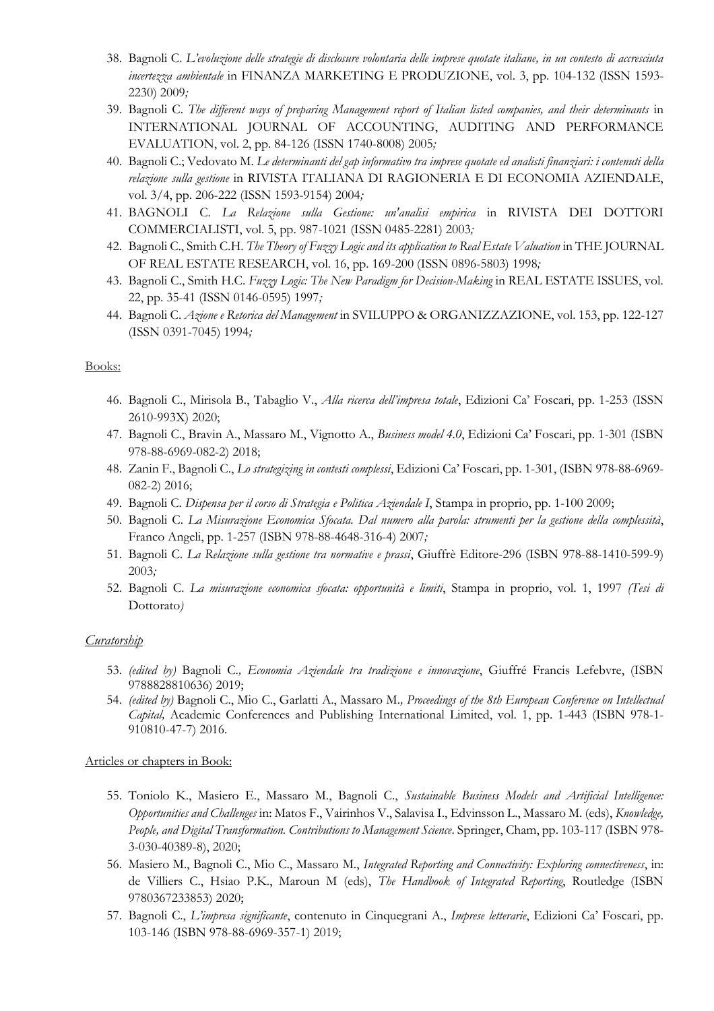- 38. Bagnoli C. *L'evoluzione delle strategie di disclosure volontaria delle imprese quotate italiane, in un contesto di accresciuta incertezza ambientale* in FINANZA MARKETING E PRODUZIONE, vol. 3, pp. 104-132 (ISSN 1593- 2230) 2009*;*
- 39. Bagnoli C. *The different ways of preparing Management report of Italian listed companies, and their determinants* in INTERNATIONAL JOURNAL OF ACCOUNTING, AUDITING AND PERFORMANCE EVALUATION, vol. 2, pp. 84-126 (ISSN 1740-8008) 2005*;*
- 40. Bagnoli C.; Vedovato M. *Le determinanti del gap informativo tra imprese quotate ed analisti finanziari: i contenuti della relazione sulla gestione* in RIVISTA ITALIANA DI RAGIONERIA E DI ECONOMIA AZIENDALE, vol. 3/4, pp. 206-222 (ISSN 1593-9154) 2004*;*
- 41. BAGNOLI C. *La Relazione sulla Gestione: un'analisi empirica* in RIVISTA DEI DOTTORI COMMERCIALISTI, vol. 5, pp. 987-1021 (ISSN 0485-2281) 2003*;*
- 42. Bagnoli C., Smith C.H. *The Theory of Fuzzy Logic and its application to Real Estate Valuation* in THE JOURNAL OF REAL ESTATE RESEARCH, vol. 16, pp. 169-200 (ISSN 0896-5803) 1998*;*
- 43. Bagnoli C., Smith H.C. *Fuzzy Logic: The New Paradigm for Decision-Making* in REAL ESTATE ISSUES, vol. 22, pp. 35-41 (ISSN 0146-0595) 1997*;*
- 44. Bagnoli C. *Azione e Retorica del Management* in SVILUPPO & ORGANIZZAZIONE, vol. 153, pp. 122-127 (ISSN 0391-7045) 1994*;*

#### Books:

- 46. Bagnoli C., Mirisola B., Tabaglio V., *Alla ricerca dell'impresa totale*, Edizioni Ca' Foscari, pp. 1-253 (ISSN 2610-993X) 2020;
- 47. Bagnoli C., Bravin A., Massaro M., Vignotto A., *Business model 4.0*, Edizioni Ca' Foscari, pp. 1-301 (ISBN 978-88-6969-082-2) 2018;
- 48. Zanin F., Bagnoli C., *Lo strategizing in contesti complessi*, Edizioni Ca' Foscari, pp. 1-301, (ISBN 978-88-6969- 082-2) 2016;
- 49. Bagnoli C. *Dispensa per il corso di Strategia e Politica Aziendale I*, Stampa in proprio, pp. 1-100 2009;
- 50. Bagnoli C. *La Misurazione Economica Sfocata. Dal numero alla parola: strumenti per la gestione della complessità*, Franco Angeli, pp. 1-257 (ISBN 978-88-4648-316-4) 2007*;*
- 51. Bagnoli C. *La Relazione sulla gestione tra normative e prassi*, Giuffrè Editore-296 (ISBN 978-88-1410-599-9) 2003*;*
- 52. Bagnoli C. *La misurazione economica sfocata: opportunità e limiti*, Stampa in proprio, vol. 1, 1997 *(Tesi di*  Dottorato*)*

### *Curatorship*

- 53. *(edited by)* Bagnoli C.*, Economia Aziendale tra tradizione e innovazione*, Giuffré Francis Lefebvre, (ISBN 9788828810636) 2019;
- 54. *(edited by)* Bagnoli C., Mio C., Garlatti A., Massaro M.*, Proceedings of the 8th European Conference on Intellectual Capital,* Academic Conferences and Publishing International Limited, vol. 1, pp. 1-443 (ISBN 978-1- 910810-47-7) 2016.

#### Articles or chapters in Book:

- 55. Toniolo K., Masiero E., Massaro M., Bagnoli C., *Sustainable Business Models and Artificial Intelligence: Opportunities and Challenges* in: Matos F., Vairinhos V., Salavisa I., Edvinsson L., Massaro M. (eds), *Knowledge, People, and Digital Transformation. Contributions to Management Science*. Springer, Cham, pp. 103-117 (ISBN 978- 3-030-40389-8), 2020;
- 56. Masiero M., Bagnoli C., Mio C., Massaro M., *Integrated Reporting and Connectivity: Exploring connectiveness*, in: de Villiers C., Hsiao P.K., Maroun M (eds), *The Handbook of Integrated Reporting*, Routledge (ISBN 9780367233853) 2020;
- 57. Bagnoli C., *L'impresa significante*, contenuto in Cinquegrani A., *Imprese letterarie*, Edizioni Ca' Foscari, pp. 103-146 (ISBN 978-88-6969-357-1) 2019;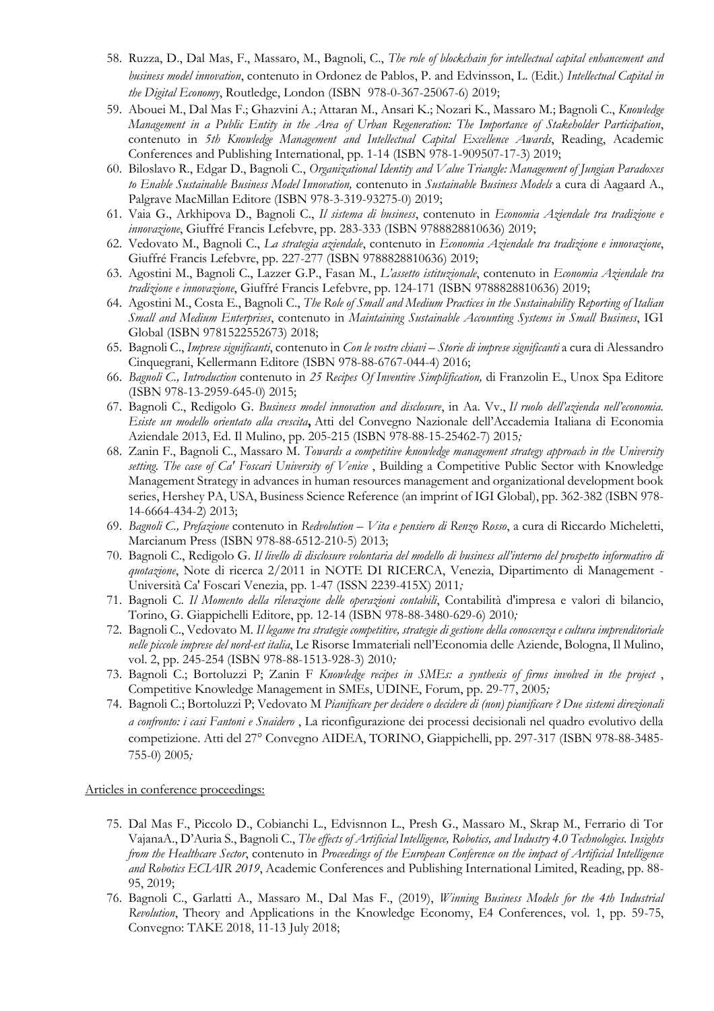- 58. Ruzza, D., Dal Mas, F., Massaro, M., Bagnoli, C., *The role of blockchain for intellectual capital enhancement and business model innovation*, contenuto in Ordonez de Pablos, P. and Edvinsson, L. (Edit.) *Intellectual Capital in the Digital Economy*, Routledge, London (ISBN 978-0-367-25067-6) 2019;
- 59. Abouei M., Dal Mas F.; Ghazvini A.; Attaran M., Ansari K.; Nozari K., Massaro M.; Bagnoli C., *Knowledge Management in a Public Entity in the Area of Urban Regeneration: The Importance of Stakeholder Participation*, contenuto in *5th Knowledge Management and Intellectual Capital Excellence Awards*, Reading, Academic Conferences and Publishing International, pp. 1-14 (ISBN 978-1-909507-17-3) 2019;
- 60. Biloslavo R., Edgar D., Bagnoli C., *Organizational Identity and Value Triangle: Management of Jungian Paradoxes to Enable Sustainable Business Model Innovation,* contenuto in *Sustainable Business Models* a cura di Aagaard A., Palgrave MacMillan Editore (ISBN 978-3-319-93275-0) 2019;
- 61. Vaia G., Arkhipova D., Bagnoli C., *Il sistema di business*, contenuto in *Economia Aziendale tra tradizione e innovazione*, Giuffré Francis Lefebvre, pp. 283-333 (ISBN 9788828810636) 2019;
- 62. Vedovato M., Bagnoli C., *La strategia aziendale*, contenuto in *Economia Aziendale tra tradizione e innovazione*, Giuffré Francis Lefebvre, pp. 227-277 (ISBN 9788828810636) 2019;
- 63. Agostini M., Bagnoli C., Lazzer G.P., Fasan M., *L'assetto istituzionale*, contenuto in *Economia Aziendale tra tradizione e innovazione*, Giuffré Francis Lefebvre, pp. 124-171 (ISBN 9788828810636) 2019;
- 64. Agostini M., Costa E., Bagnoli C., *The Role of Small and Medium Practices in the Sustainability Reporting of Italian Small and Medium Enterprises*, contenuto in *Maintaining Sustainable Accounting Systems in Small Business*, IGI Global (ISBN 9781522552673) 2018;
- 65. Bagnoli C., *Imprese significanti*, contenuto in *Con le vostre chiavi – Storie di imprese significanti* a cura di Alessandro Cinquegrani, Kellermann Editore (ISBN 978-88-6767-044-4) 2016;
- 66. *Bagnoli C., Introduction* contenuto in *25 Recipes Of Inventive Simplification,* di Franzolin E., Unox Spa Editore (ISBN 978-13-2959-645-0) 2015;
- 67. Bagnoli C., Redigolo G. *Business model innovation and disclosure*, in Aa. Vv., *Il ruolo dell'azienda nell'economia. Esiste un modello orientato alla crescita***,** Atti del Convegno Nazionale dell'Accademia Italiana di Economia Aziendale 2013, Ed. Il Mulino, pp. 205-215 (ISBN 978-88-15-25462-7) 2015*;*
- 68. Zanin F., Bagnoli C., Massaro M. *Towards a competitive knowledge management strategy approach in the University*  setting. The case of Ca' Foscari University of Venice, Building a Competitive Public Sector with Knowledge Management Strategy in advances in human resources management and organizational development book series, Hershey PA, USA, Business Science Reference (an imprint of IGI Global), pp. 362-382 (ISBN 978- 14-6664-434-2) 2013;
- 69. *Bagnoli C., Prefazione* contenuto in *Redvolution – Vita e pensiero di Renzo Rosso*, a cura di Riccardo Micheletti, Marcianum Press (ISBN 978-88-6512-210-5) 2013;
- 70. Bagnoli C., Redigolo G. *Il livello di disclosure volontaria del modello di business all'interno del prospetto informativo di quotazione*, Note di ricerca 2/2011 in NOTE DI RICERCA, Venezia, Dipartimento di Management - Università Ca' Foscari Venezia, pp. 1-47 (ISSN 2239-415X) 2011*;*
- 71. Bagnoli C. *Il Momento della rilevazione delle operazioni contabili*, Contabilità d'impresa e valori di bilancio, Torino, G. Giappichelli Editore, pp. 12-14 (ISBN 978-88-3480-629-6) 2010*;*
- 72. Bagnoli C., Vedovato M. *Il legame tra strategie competitive, strategie di gestione della conoscenza e cultura imprenditoriale nelle piccole imprese del nord-est italia*, Le Risorse Immateriali nell'Economia delle Aziende, Bologna, Il Mulino, vol. 2, pp. 245-254 (ISBN 978-88-1513-928-3) 2010*;*
- 73. Bagnoli C.; Bortoluzzi P; Zanin F *Knowledge recipes in SMEs: a synthesis of firms involved in the project* , Competitive Knowledge Management in SMEs, UDINE, Forum, pp. 29-77, 2005*;*
- 74. Bagnoli C.; Bortoluzzi P; Vedovato M *Pianificare per decidere o decidere di (non) pianificare ? Due sistemi direzionali a confronto: i casi Fantoni e Snaidero* , La riconfigurazione dei processi decisionali nel quadro evolutivo della competizione. Atti del 27° Convegno AIDEA, TORINO, Giappichelli, pp. 297-317 (ISBN 978-88-3485- 755-0) 2005*;*

Articles in conference proceedings:

- 75. Dal Mas F., Piccolo D., Cobianchi L., Edvisnnon L., Presh G., Massaro M., Skrap M., Ferrario di Tor VajanaA., D'Auria S., Bagnoli C., *The effects of Artificial Intelligence, Robotics, and Industry 4.0 Technologies. Insights from the Healthcare Sector*, contenuto in *Proceedings of the European Conference on the impact of Artificial Intelligence and Robotics ECIAIR 2019*, Academic Conferences and Publishing International Limited, Reading, pp. 88- 95, 2019;
- 76. Bagnoli C., Garlatti A., Massaro M., Dal Mas F., (2019), *Winning Business Models for the 4th Industrial Revolution*, Theory and Applications in the Knowledge Economy, E4 Conferences, vol. 1, pp. 59-75, Convegno: TAKE 2018, 11-13 July 2018;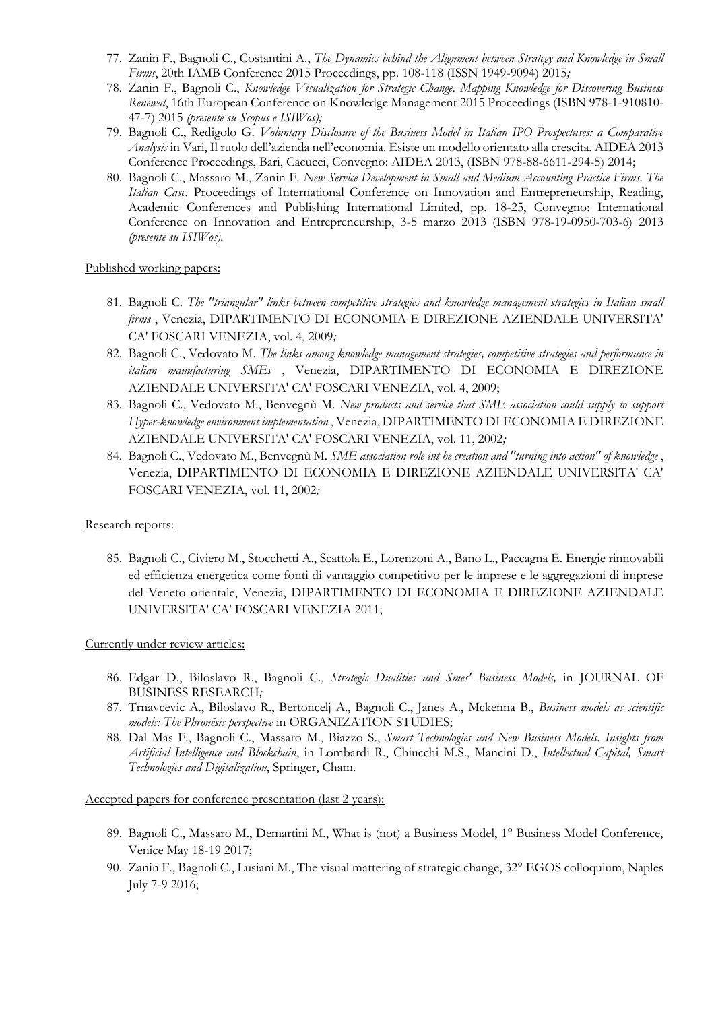- 77. Zanin F., Bagnoli C., Costantini A., *The Dynamics behind the Alignment between Strategy and Knowledge in Small Firms*, 20th IAMB Conference 2015 Proceedings, pp. 108-118 (ISSN 1949-9094) 2015*;*
- 78. Zanin F., Bagnoli C., *Knowledge Visualization for Strategic Change. Mapping Knowledge for Discovering Business Renewal*, 16th European Conference on Knowledge Management 2015 Proceedings (ISBN 978-1-910810- 47-7) 2015 *(presente su Scopus e ISIWos);*
- 79. Bagnoli C., Redigolo G. *Voluntary Disclosure of the Business Model in Italian IPO Prospectuses: a Comparative Analysis* in Vari, Il ruolo dell'azienda nell'economia. Esiste un modello orientato alla crescita. AIDEA 2013 Conference Proceedings, Bari, Cacucci, Convegno: AIDEA 2013, (ISBN 978-88-6611-294-5) 2014;
- 80. Bagnoli C., Massaro M., Zanin F. *New Service Development in Small and Medium Accounting Practice Firms. The Italian Case.* Proceedings of International Conference on Innovation and Entrepreneurship, Reading, Academic Conferences and Publishing International Limited, pp. 18-25, Convegno: International Conference on Innovation and Entrepreneurship, 3-5 marzo 2013 (ISBN 978-19-0950-703-6) 2013 *(presente su ISIWos).*

#### Published working papers:

- 81. Bagnoli C. *The "triangular" links between competitive strategies and knowledge management strategies in Italian small firms* , Venezia, DIPARTIMENTO DI ECONOMIA E DIREZIONE AZIENDALE UNIVERSITA' CA' FOSCARI VENEZIA, vol. 4, 2009*;*
- 82. Bagnoli C., Vedovato M. *The links among knowledge management strategies, competitive strategies and performance in italian manufacturing SMEs* , Venezia, DIPARTIMENTO DI ECONOMIA E DIREZIONE AZIENDALE UNIVERSITA' CA' FOSCARI VENEZIA, vol. 4, 2009;
- 83. Bagnoli C., Vedovato M., Benvegnù M. *New products and service that SME association could supply to support Hyper-knowledge environment implementation* , Venezia, DIPARTIMENTO DI ECONOMIA E DIREZIONE AZIENDALE UNIVERSITA' CA' FOSCARI VENEZIA, vol. 11, 2002*;*
- 84. Bagnoli C., Vedovato M., Benvegnù M. *SME association role int he creation and "turning into action" of knowledge* , Venezia, DIPARTIMENTO DI ECONOMIA E DIREZIONE AZIENDALE UNIVERSITA' CA' FOSCARI VENEZIA, vol. 11, 2002*;*

### Research reports:

85. Bagnoli C., Civiero M., Stocchetti A., Scattola E., Lorenzoni A., Bano L., Paccagna E. Energie rinnovabili ed efficienza energetica come fonti di vantaggio competitivo per le imprese e le aggregazioni di imprese del Veneto orientale, Venezia, DIPARTIMENTO DI ECONOMIA E DIREZIONE AZIENDALE UNIVERSITA' CA' FOSCARI VENEZIA 2011;

### Currently under review articles:

- 86. Edgar D., Biloslavo R., Bagnoli C., *Strategic Dualities and Smes' Business Models,* in JOURNAL OF BUSINESS RESEARCH*;*
- 87. Trnavcevic A., Biloslavo R., Bertoncelj A., Bagnoli C., Janes A., Mckenna B., *Business models as scientific models: The Phronēsis perspective* in ORGANIZATION STUDIES;
- 88. Dal Mas F., Bagnoli C., Massaro M., Biazzo S., *Smart Technologies and New Business Models. Insights from Artificial Intelligence and Blockchain*, in Lombardi R., Chiucchi M.S., Mancini D., *Intellectual Capital, Smart Technologies and Digitalization*, Springer, Cham.

Accepted papers for conference presentation (last 2 years):

- 89. Bagnoli C., Massaro M., Demartini M., What is (not) a Business Model, 1° Business Model Conference, Venice May 18-19 2017;
- 90. Zanin F., Bagnoli C., Lusiani M., The visual mattering of strategic change, 32° EGOS colloquium, Naples July 7-9 2016;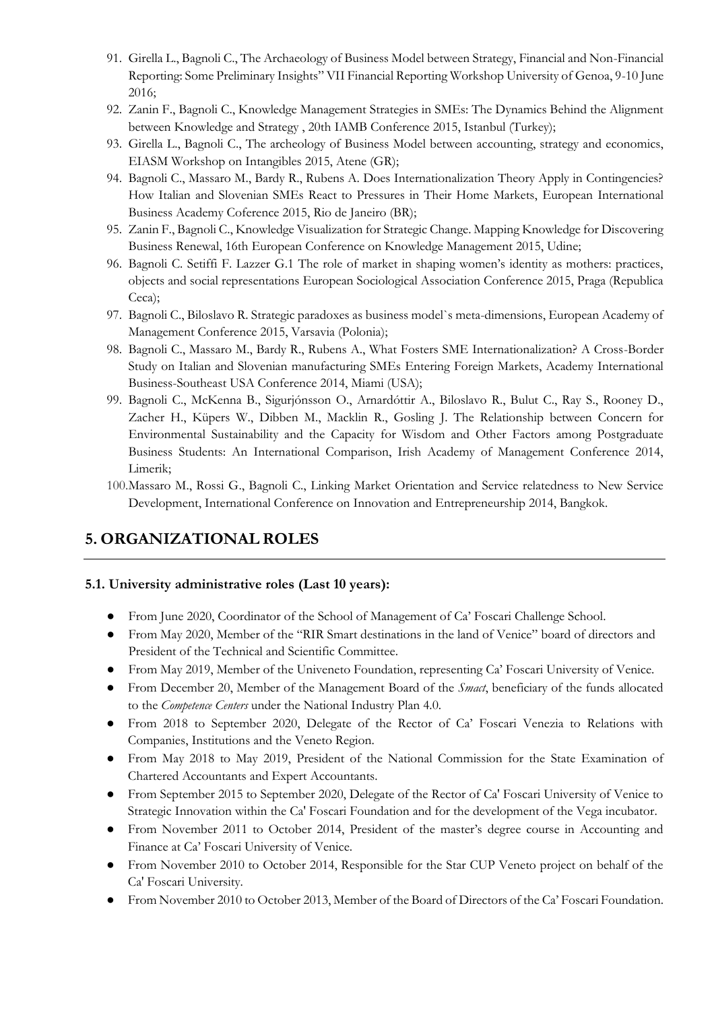- 91. Girella L., Bagnoli C., The Archaeology of Business Model between Strategy, Financial and Non-Financial Reporting: Some Preliminary Insights" VII Financial Reporting Workshop University of Genoa, 9-10 June 2016;
- 92. Zanin F., Bagnoli C., Knowledge Management Strategies in SMEs: The Dynamics Behind the Alignment between Knowledge and Strategy , 20th IAMB Conference 2015, Istanbul (Turkey);
- 93. Girella L., Bagnoli C., The archeology of Business Model between accounting, strategy and economics, EIASM Workshop on Intangibles 2015, Atene (GR);
- 94. Bagnoli C., Massaro M., Bardy R., Rubens A. Does Internationalization Theory Apply in Contingencies? How Italian and Slovenian SMEs React to Pressures in Their Home Markets, European International Business Academy Coference 2015, Rio de Janeiro (BR);
- 95. Zanin F., Bagnoli C., Knowledge Visualization for Strategic Change. Mapping Knowledge for Discovering Business Renewal, 16th European Conference on Knowledge Management 2015, Udine;
- 96. Bagnoli C. Setiffi F. Lazzer G.1 The role of market in shaping women's identity as mothers: practices, objects and social representations European Sociological Association Conference 2015, Praga (Republica Ceca);
- 97. Bagnoli C., Biloslavo R. Strategic paradoxes as business model`s meta-dimensions, European Academy of Management Conference 2015, Varsavia (Polonia);
- 98. Bagnoli C., Massaro M., Bardy R., Rubens A., What Fosters SME Internationalization? A Cross-Border Study on Italian and Slovenian manufacturing SMEs Entering Foreign Markets, Academy International Business-Southeast USA Conference 2014, Miami (USA);
- 99. Bagnoli C., McKenna B., Sigurjónsson O., Arnardóttir A., Biloslavo R., Bulut C., Ray S., Rooney D., Zacher H., Küpers W., Dibben M., Macklin R., Gosling J. The Relationship between Concern for Environmental Sustainability and the Capacity for Wisdom and Other Factors among Postgraduate Business Students: An International Comparison, Irish Academy of Management Conference 2014, Limerik;
- 100.Massaro M., Rossi G., Bagnoli C., Linking Market Orientation and Service relatedness to New Service Development, International Conference on Innovation and Entrepreneurship 2014, Bangkok.

# **5. ORGANIZATIONAL ROLES**

### **5.1. University administrative roles (Last 10 years):**

- From June 2020, Coordinator of the School of Management of Ca' Foscari Challenge School.
- From May 2020, Member of the "RIR Smart destinations in the land of Venice" board of directors and President of the Technical and Scientific Committee.
- From May 2019, Member of the Univeneto Foundation, representing Ca' Foscari University of Venice.
- From December 20, Member of the Management Board of the *Smact*, beneficiary of the funds allocated to the *Competence Centers* under the National Industry Plan 4.0.
- From 2018 to September 2020, Delegate of the Rector of Ca' Foscari Venezia to Relations with Companies, Institutions and the Veneto Region.
- From May 2018 to May 2019, President of the National Commission for the State Examination of Chartered Accountants and Expert Accountants.
- From September 2015 to September 2020, Delegate of the Rector of Ca' Foscari University of Venice to Strategic Innovation within the Ca' Foscari Foundation and for the development of the Vega incubator.
- From November 2011 to October 2014, President of the master's degree course in Accounting and Finance at Ca' Foscari University of Venice.
- From November 2010 to October 2014, Responsible for the Star CUP Veneto project on behalf of the Ca' Foscari University.
- From November 2010 to October 2013, Member of the Board of Directors of the Ca' Foscari Foundation.